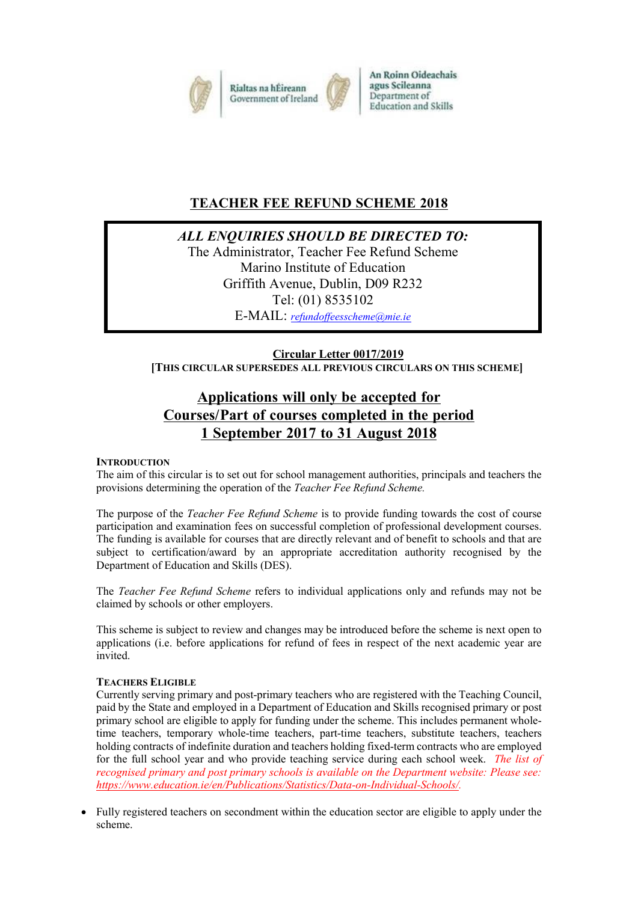

# **TEACHER FEE REFUND SCHEME 2018**

*ALL ENQUIRIES SHOULD BE DIRECTED TO:*

The Administrator, Teacher Fee Refund Scheme Marino Institute of Education Griffith Avenue, Dublin, D09 R232 Tel: (01) 8535102 E-MAIL: *[refundoffeesscheme@mie.ie](mailto:refundoffeesscheme@mie.ie)*

**Circular Letter 0017/2019 [THIS CIRCULAR SUPERSEDES ALL PREVIOUS CIRCULARS ON THIS SCHEME]**

# **Applications will only be accepted for Courses/Part of courses completed in the period 1 September 2017 to 31 August 2018**

### **INTRODUCTION**

The aim of this circular is to set out for school management authorities, principals and teachers the provisions determining the operation of the *Teacher Fee Refund Scheme.*

The purpose of the *Teacher Fee Refund Scheme* is to provide funding towards the cost of course participation and examination fees on successful completion of professional development courses. The funding is available for courses that are directly relevant and of benefit to schools and that are subject to certification/award by an appropriate accreditation authority recognised by the Department of Education and Skills (DES).

The *Teacher Fee Refund Scheme* refers to individual applications only and refunds may not be claimed by schools or other employers.

This scheme is subject to review and changes may be introduced before the scheme is next open to applications (i.e. before applications for refund of fees in respect of the next academic year are invited.

### **TEACHERS ELIGIBLE**

Currently serving primary and post-primary teachers who are registered with the Teaching Council, paid by the State and employed in a Department of Education and Skills recognised primary or post primary school are eligible to apply for funding under the scheme. This includes permanent wholetime teachers, temporary whole-time teachers, part-time teachers, substitute teachers, teachers holding contracts of indefinite duration and teachers holding fixed-term contracts who are employed for the full school year and who provide teaching service during each school week. *The list of recognised primary and post primary schools is available on the Department website: Please see: [https://www.education.ie/en/Publications/Statistics/Data-on-Individual-Schools/.](https://www.education.ie/en/Publications/Statistics/Data-on-Individual-Schools/)*

• Fully registered teachers on secondment within the education sector are eligible to apply under the scheme.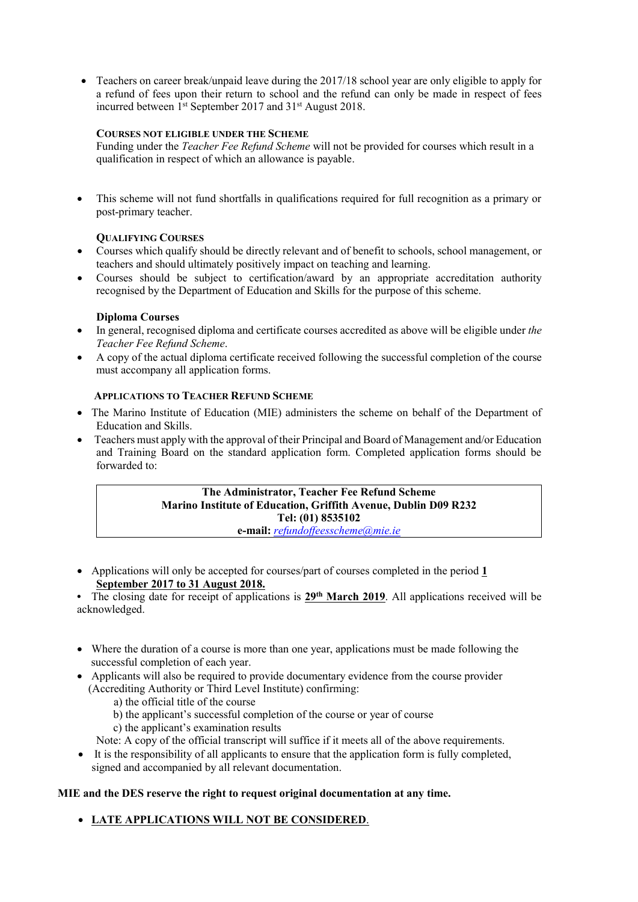• Teachers on career break/unpaid leave during the 2017/18 school year are only eligible to apply for a refund of fees upon their return to school and the refund can only be made in respect of fees incurred between 1<sup>st</sup> September 2017 and 31<sup>st</sup> August 2018.

### **COURSES NOT ELIGIBLE UNDER THE SCHEME**

Funding under the *Teacher Fee Refund Scheme* will not be provided for courses which result in a qualification in respect of which an allowance is payable.

 This scheme will not fund shortfalls in qualifications required for full recognition as a primary or post-primary teacher.

### **QUALIFYING COURSES**

- Courses which qualify should be directly relevant and of benefit to schools, school management, or teachers and should ultimately positively impact on teaching and learning.
- Courses should be subject to certification/award by an appropriate accreditation authority recognised by the Department of Education and Skills for the purpose of this scheme.

### **Diploma Courses**

- In general, recognised diploma and certificate courses accredited as above will be eligible under *the Teacher Fee Refund Scheme*.
- A copy of the actual diploma certificate received following the successful completion of the course must accompany all application forms.

### **APPLICATIONS TO TEACHER REFUND SCHEME**

- The Marino Institute of Education (MIE) administers the scheme on behalf of the Department of Education and Skills.
- Teachers must apply with the approval of their Principal and Board of Management and/or Education and Training Board on the standard application form. Completed application forms should be forwarded to:

## **The Administrator, Teacher Fee Refund Scheme Marino Institute of Education, Griffith Avenue, Dublin D09 R232 Tel: (01) 8535102**

**e-mail:** *[refundoffeesscheme@mie.ie](mailto:refundoffeesscheme@mie.ie)*

 Applications will only be accepted for courses/part of courses completed in the period **1 September 2017 to 31 August 2018.** 

• The closing date for receipt of applications is 29<sup>th</sup> March 2019. All applications received will be acknowledged.

- Where the duration of a course is more than one year, applications must be made following the successful completion of each year.
- Applicants will also be required to provide documentary evidence from the course provider (Accrediting Authority or Third Level Institute) confirming:
	- a) the official title of the course
	- b) the applicant's successful completion of the course or year of course
	- c) the applicant's examination results

Note: A copy of the official transcript will suffice if it meets all of the above requirements.

 It is the responsibility of all applicants to ensure that the application form is fully completed, signed and accompanied by all relevant documentation.

### **MIE and the DES reserve the right to request original documentation at any time.**

**LATE APPLICATIONS WILL NOT BE CONSIDERED**.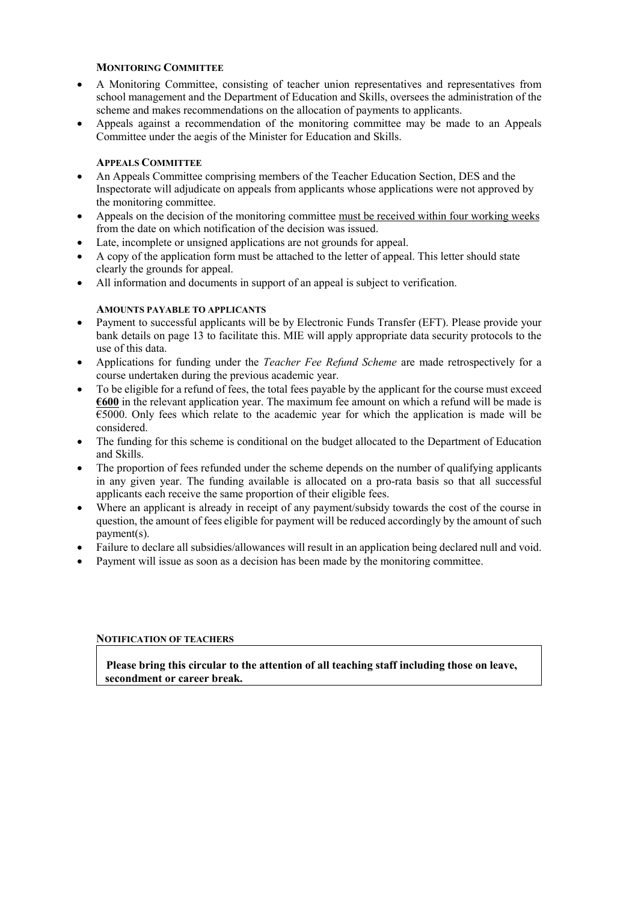#### **MONITORING COMMITTEE**

- A Monitoring Committee, consisting of teacher union representatives and representatives from school management and the Department of Education and Skills, oversees the administration of the scheme and makes recommendations on the allocation of payments to applicants.
- Appeals against a recommendation of the monitoring committee may be made to an Appeals Committee under the aegis of the Minister for Education and Skills.

#### **APPEALS COMMITTEE**

- An Appeals Committee comprising members of the Teacher Education Section, DES and the Inspectorate will adjudicate on appeals from applicants whose applications were not approved by the monitoring committee.
- Appeals on the decision of the monitoring committee must be received within four working weeks from the date on which notification of the decision was issued.
- Late, incomplete or unsigned applications are not grounds for appeal.
- A copy of the application form must be attached to the letter of appeal. This letter should state clearly the grounds for appeal.
- All information and documents in support of an appeal is subject to verification.

### **AMOUNTS PAYABLE TO APPLICANTS**

- Payment to successful applicants will be by Electronic Funds Transfer (EFT). Please provide your bank details on page 13 to facilitate this. MIE will apply appropriate data security protocols to the use of this data.
- Applications for funding under the *Teacher Fee Refund Scheme* are made retrospectively for a course undertaken during the previous academic year.
- To be eligible for a refund of fees, the total fees payable by the applicant for the course must exceed **€600** in the relevant application year. The maximum fee amount on which a refund will be made is  $\overline{\epsilon}$ 5000. Only fees which relate to the academic year for which the application is made will be considered.
- The funding for this scheme is conditional on the budget allocated to the Department of Education and Skills.
- The proportion of fees refunded under the scheme depends on the number of qualifying applicants in any given year. The funding available is allocated on a pro-rata basis so that all successful applicants each receive the same proportion of their eligible fees.
- Where an applicant is already in receipt of any payment/subsidy towards the cost of the course in question, the amount of fees eligible for payment will be reduced accordingly by the amount of such payment(s).
- Failure to declare all subsidies/allowances will result in an application being declared null and void.
- Payment will issue as soon as a decision has been made by the monitoring committee.

#### **NOTIFICATION OF TEACHERS**

 **Please bring this circular to the attention of all teaching staff including those on leave, secondment or career break.**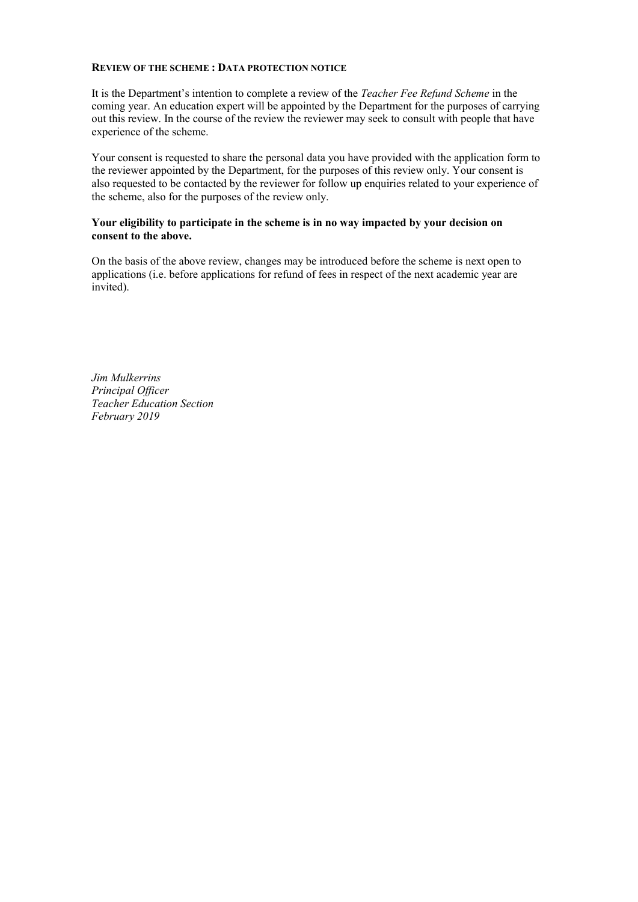#### **REVIEW OF THE SCHEME : DATA PROTECTION NOTICE**

It is the Department's intention to complete a review of the *Teacher Fee Refund Scheme* in the coming year. An education expert will be appointed by the Department for the purposes of carrying out this review. In the course of the review the reviewer may seek to consult with people that have experience of the scheme.

Your consent is requested to share the personal data you have provided with the application form to the reviewer appointed by the Department, for the purposes of this review only. Your consent is also requested to be contacted by the reviewer for follow up enquiries related to your experience of the scheme, also for the purposes of the review only.

### **Your eligibility to participate in the scheme is in no way impacted by your decision on consent to the above.**

On the basis of the above review, changes may be introduced before the scheme is next open to applications (i.e. before applications for refund of fees in respect of the next academic year are invited).

*Jim Mulkerrins Principal Officer Teacher Education Section February 2019*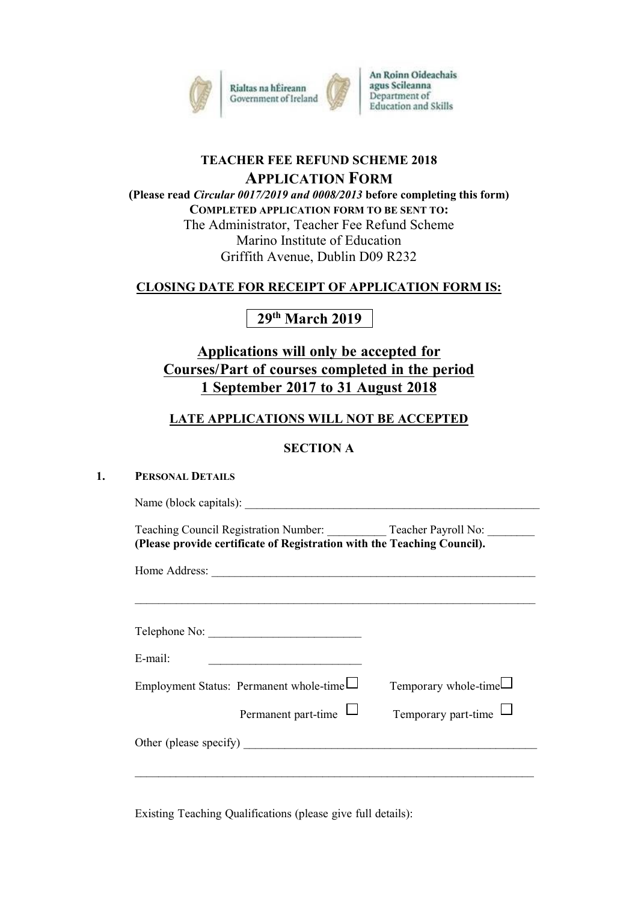

## **TEACHER FEE REFUND SCHEME 2018 APPLICATION FORM**

**(Please read** *Circular 0017/2019 and 0008/2013* **before completing this form) COMPLETED APPLICATION FORM TO BE SENT TO:** The Administrator, Teacher Fee Refund Scheme Marino Institute of Education Griffith Avenue, Dublin D09 R232

## **CLOSING DATE FOR RECEIPT OF APPLICATION FORM IS:**

# **29 th March 2019**

# **Applications will only be accepted for Courses/Part of courses completed in the period 1 September 2017 to 31 August 2018**

## **LATE APPLICATIONS WILL NOT BE ACCEPTED**

## **SECTION A**

### **1. PERSONAL DETAILS**

Name (block capitals): Teaching Council Registration Number: Teacher Payroll No: **(Please provide certificate of Registration with the Teaching Council).** Home Address:  $\mathcal{L}_\text{max} = \mathcal{L}_\text{max} = \mathcal{L}_\text{max} = \mathcal{L}_\text{max} = \mathcal{L}_\text{max} = \mathcal{L}_\text{max} = \mathcal{L}_\text{max} = \mathcal{L}_\text{max} = \mathcal{L}_\text{max} = \mathcal{L}_\text{max} = \mathcal{L}_\text{max} = \mathcal{L}_\text{max} = \mathcal{L}_\text{max} = \mathcal{L}_\text{max} = \mathcal{L}_\text{max} = \mathcal{L}_\text{max} = \mathcal{L}_\text{max} = \mathcal{L}_\text{max} = \mathcal{$ Telephone No:  $E$ -mail: Employment Status: Permanent whole-time  $\Box$  Temporary whole-time  $\Box$ Permanent part-time  $\Box$  Temporary part-time  $\Box$ Other (please specify) \_\_\_\_\_\_\_\_\_\_\_\_\_\_\_\_\_\_\_\_\_\_\_\_\_\_\_\_\_\_\_\_\_\_\_\_\_\_\_\_\_\_\_\_\_\_\_\_\_\_  $\mathcal{L}_\text{max} = \mathcal{L}_\text{max} = \mathcal{L}_\text{max} = \mathcal{L}_\text{max} = \mathcal{L}_\text{max} = \mathcal{L}_\text{max} = \mathcal{L}_\text{max} = \mathcal{L}_\text{max} = \mathcal{L}_\text{max} = \mathcal{L}_\text{max} = \mathcal{L}_\text{max} = \mathcal{L}_\text{max} = \mathcal{L}_\text{max} = \mathcal{L}_\text{max} = \mathcal{L}_\text{max} = \mathcal{L}_\text{max} = \mathcal{L}_\text{max} = \mathcal{L}_\text{max} = \mathcal{$ 

Existing Teaching Qualifications (please give full details):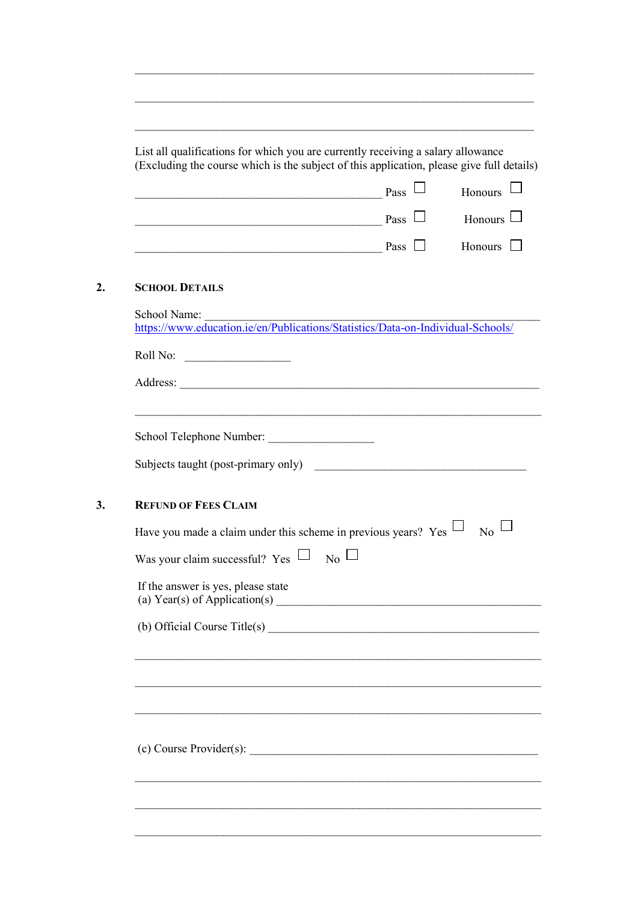| (Excluding the course which is the subject of this application, please give full details)       |                                                           |                  |
|-------------------------------------------------------------------------------------------------|-----------------------------------------------------------|------------------|
|                                                                                                 | $_{\rm Pass} \Box$                                        | Honours          |
| $\Box$ Pass $\Box$                                                                              |                                                           | Honours $\Box$   |
| $\Box$ Pass $\Box$                                                                              |                                                           | Honours $\Box$   |
| <b>SCHOOL DETAILS</b>                                                                           |                                                           |                  |
| School Name:<br>https://www.education.ie/en/Publications/Statistics/Data-on-Individual-Schools/ |                                                           |                  |
|                                                                                                 |                                                           |                  |
|                                                                                                 |                                                           |                  |
|                                                                                                 |                                                           |                  |
| School Telephone Number:                                                                        |                                                           |                  |
| Subjects taught (post-primary only)                                                             | <u> 1980 - Jan Barbara, manazarta bashkar a shekara t</u> |                  |
| <b>REFUND OF FEES CLAIM</b>                                                                     |                                                           |                  |
| Have you made a claim under this scheme in previous years? Yes $\Box$                           |                                                           | $\overline{N_0}$ |
| Was your claim successful? Yes $\Box$                                                           | $_{\rm No} \sqcup$                                        |                  |
| If the answer is yes, please state<br>(a) Year(s) of Application(s) $\overline{\phantom{a}}$    |                                                           |                  |
| (b) Official Course Title(s)                                                                    |                                                           |                  |
|                                                                                                 |                                                           |                  |
|                                                                                                 |                                                           |                  |
|                                                                                                 |                                                           |                  |
|                                                                                                 |                                                           |                  |
|                                                                                                 |                                                           |                  |

 $\mathcal{L}_\text{max} = \mathcal{L}_\text{max} = \mathcal{L}_\text{max} = \mathcal{L}_\text{max} = \mathcal{L}_\text{max} = \mathcal{L}_\text{max} = \mathcal{L}_\text{max} = \mathcal{L}_\text{max} = \mathcal{L}_\text{max} = \mathcal{L}_\text{max} = \mathcal{L}_\text{max} = \mathcal{L}_\text{max} = \mathcal{L}_\text{max} = \mathcal{L}_\text{max} = \mathcal{L}_\text{max} = \mathcal{L}_\text{max} = \mathcal{L}_\text{max} = \mathcal{L}_\text{max} = \mathcal{$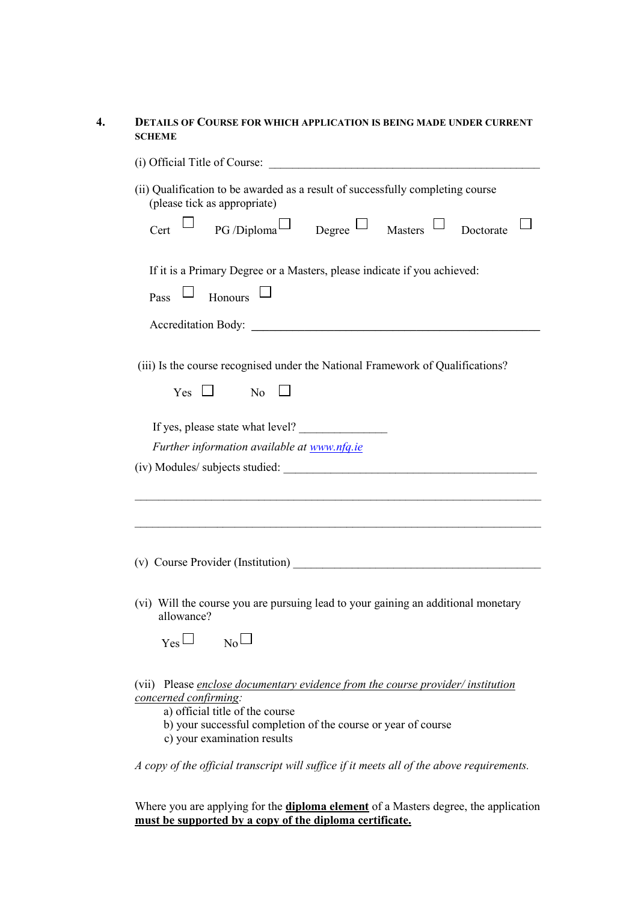### **4. DETAILS OF COURSE FOR WHICH APPLICATION IS BEING MADE UNDER CURRENT SCHEME**

|            | (ii) Qualification to be awarded as a result of successfully completing course<br>(please tick as appropriate)                                                                                                                              |  |  |  |           |  |
|------------|---------------------------------------------------------------------------------------------------------------------------------------------------------------------------------------------------------------------------------------------|--|--|--|-----------|--|
|            | Cert $\Box$ PG/Diploma $\Box$ Degree $\Box$ Masters $\Box$                                                                                                                                                                                  |  |  |  | Doctorate |  |
|            | If it is a Primary Degree or a Masters, please indicate if you achieved:                                                                                                                                                                    |  |  |  |           |  |
| Pass       | Honours                                                                                                                                                                                                                                     |  |  |  |           |  |
|            | Accreditation Body:                                                                                                                                                                                                                         |  |  |  |           |  |
|            | (iii) Is the course recognised under the National Framework of Qualifications?<br>$Yes \Box$ No                                                                                                                                             |  |  |  |           |  |
|            | If yes, please state what level?                                                                                                                                                                                                            |  |  |  |           |  |
|            | Further information available at www.nfq.ie                                                                                                                                                                                                 |  |  |  |           |  |
|            |                                                                                                                                                                                                                                             |  |  |  |           |  |
|            |                                                                                                                                                                                                                                             |  |  |  |           |  |
|            |                                                                                                                                                                                                                                             |  |  |  |           |  |
|            |                                                                                                                                                                                                                                             |  |  |  |           |  |
| allowance? | (vi) Will the course you are pursuing lead to your gaining an additional monetary                                                                                                                                                           |  |  |  |           |  |
| Yes        | No                                                                                                                                                                                                                                          |  |  |  |           |  |
|            | (vii) Please enclose documentary evidence from the course provider/ institution<br>concerned confirming:<br>a) official title of the course<br>b) your successful completion of the course or year of course<br>c) your examination results |  |  |  |           |  |
|            | A copy of the official transcript will suffice if it meets all of the above requirements.                                                                                                                                                   |  |  |  |           |  |

Where you are applying for the **diploma element** of a Masters degree, the application **must be supported by a copy of the diploma certificate.**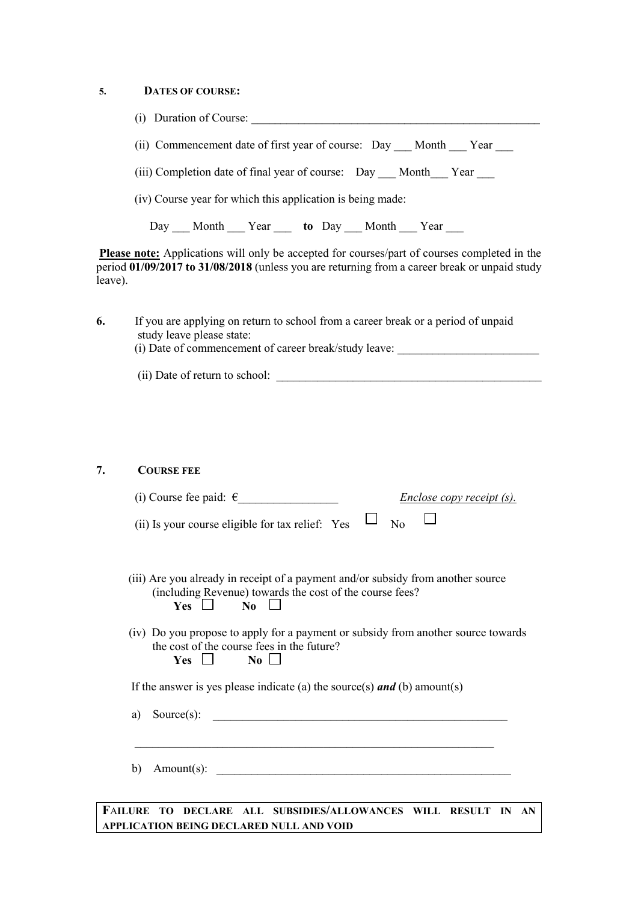### **5. DATES OF COURSE:**

| (i) Duration of Course:                                        |
|----------------------------------------------------------------|
| (ii) Commencement date of first year of course: Day Month Year |
| (iii) Completion date of final year of course: Day Month Year  |
| (iv) Course year for which this application is being made:     |
| Day Month Year to Day Month Year                               |

**Please note:** Applications will only be accepted for courses/part of courses completed in the period **01/09/2017 to 31/08/2018** (unless you are returning from a career break or unpaid study leave).

| 6. | If you are applying on return to school from a career break or a period of unpaid<br>study leave please state: |
|----|----------------------------------------------------------------------------------------------------------------|
|    | (i) Date of commencement of career break/study leave:                                                          |
|    | (ii) Date of return to school:                                                                                 |

### **7. COURSE FEE**

| (i) Course fee paid: $\epsilon$<br><b>Enclose copy receipt (s).</b>                                                                                                                                                                                          |
|--------------------------------------------------------------------------------------------------------------------------------------------------------------------------------------------------------------------------------------------------------------|
| (ii) Is your course eligible for tax relief: Yes<br>N <sub>0</sub>                                                                                                                                                                                           |
|                                                                                                                                                                                                                                                              |
| (iii) Are you already in receipt of a payment and/or subsidy from another source<br>(including Revenue) towards the cost of the course fees?<br>$Yes \Box$<br>$\overline{N_0}$ $\Box$                                                                        |
| (iv) Do you propose to apply for a payment or subsidy from another source towards<br>the cost of the course fees in the future?<br>$No$ $\Box$<br>Yes $\Box$                                                                                                 |
| If the answer is yes please indicate (a) the source(s) $and$ (b) amount(s)                                                                                                                                                                                   |
| Source $(s)$ :<br>a)<br><u> 1989 - Johann Harry Harry Harry Harry Harry Harry Harry Harry Harry Harry Harry Harry Harry Harry Harry Harry Harry Harry Harry Harry Harry Harry Harry Harry Harry Harry Harry Harry Harry Harry Harry Harry Harry Harry Ha</u> |
|                                                                                                                                                                                                                                                              |
| Amount(s):<br>b)                                                                                                                                                                                                                                             |
|                                                                                                                                                                                                                                                              |

**F**A**ILURE TO DECLARE ALL SUBSIDIES/ALLOWANCES WILL RESULT IN AN APPLICATION BEING DECLARED NULL AND VOID**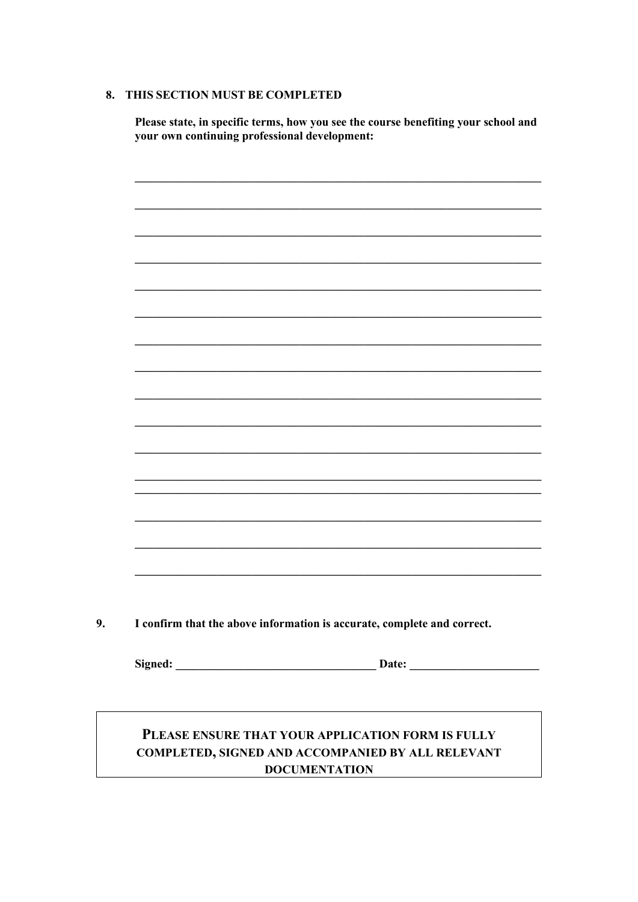### 8. THIS SECTION MUST BE COMPLETED

Please state, in specific terms, how you see the course benefiting your school and your own continuing professional development:



# PLEASE ENSURE THAT YOUR APPLICATION FORM IS FULLY COMPLETED, SIGNED AND ACCOMPANIED BY ALL RELEVANT **DOCUMENTATION**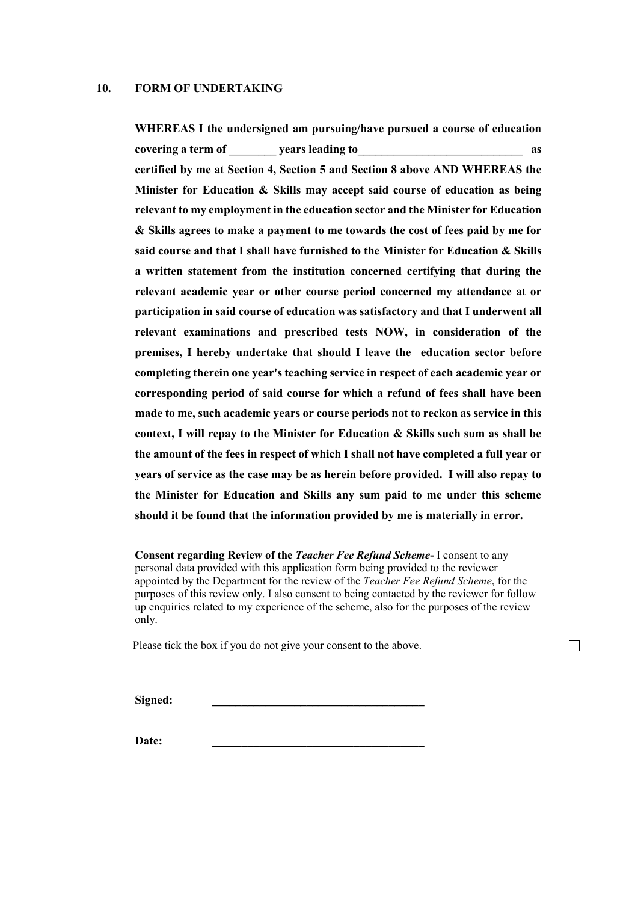#### **10. FORM OF UNDERTAKING**

**WHEREAS I the undersigned am pursuing/have pursued a course of education covering a term of \_\_\_\_\_\_\_\_ years leading to\_\_\_\_\_\_\_\_\_\_\_\_\_\_\_\_\_\_\_\_\_\_\_\_\_\_\_\_ as certified by me at Section 4, Section 5 and Section 8 above AND WHEREAS the Minister for Education & Skills may accept said course of education as being relevant to my employment in the education sector and the Minister for Education & Skills agrees to make a payment to me towards the cost of fees paid by me for said course and that I shall have furnished to the Minister for Education & Skills a written statement from the institution concerned certifying that during the relevant academic year or other course period concerned my attendance at or participation in said course of education was satisfactory and that I underwent all relevant examinations and prescribed tests NOW, in consideration of the premises, I hereby undertake that should I leave the education sector before completing therein one year's teaching service in respect of each academic year or corresponding period of said course for which a refund of fees shall have been made to me, such academic years or course periods not to reckon as service in this context, I will repay to the Minister for Education & Skills such sum as shall be the amount of the fees in respect of which I shall not have completed a full year or years of service as the case may be as herein before provided. I will also repay to the Minister for Education and Skills any sum paid to me under this scheme should it be found that the information provided by me is materially in error.**

**Consent regarding Review of the** *Teacher Fee Refund Scheme***-** I consent to any personal data provided with this application form being provided to the reviewer appointed by the Department for the review of the *Teacher Fee Refund Scheme*, for the purposes of this review only. I also consent to being contacted by the reviewer for follow up enquiries related to my experience of the scheme, also for the purposes of the review only.

 $\Box$ 

Please tick the box if you do not give your consent to the above.

 $Signed:$ 

**Date: \_\_\_\_\_\_\_\_\_\_\_\_\_\_\_\_\_\_\_\_\_\_\_\_\_\_\_\_\_\_\_\_\_\_\_\_**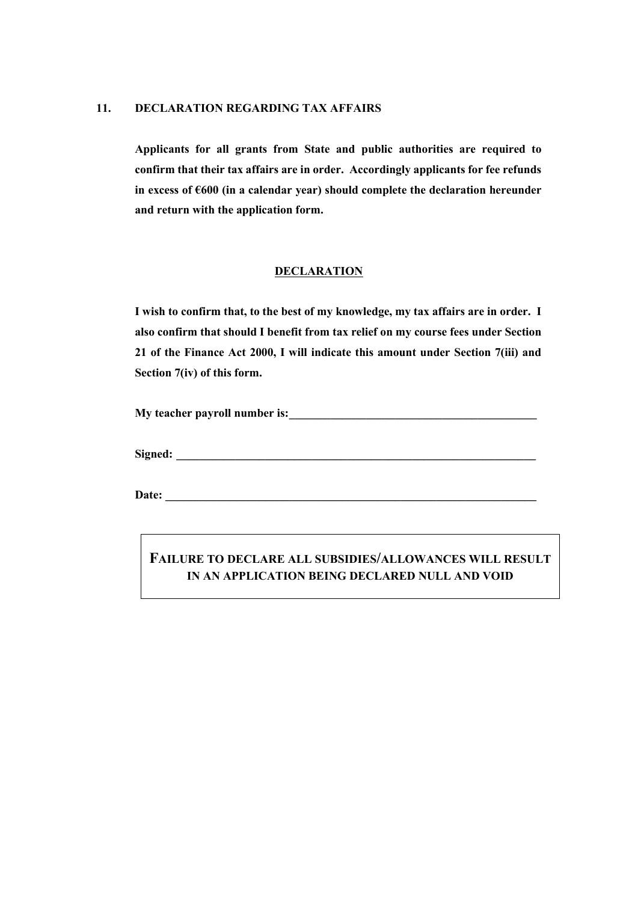### **11. DECLARATION REGARDING TAX AFFAIRS**

**Applicants for all grants from State and public authorities are required to confirm that their tax affairs are in order. Accordingly applicants for fee refunds in excess of €600 (in a calendar year) should complete the declaration hereunder and return with the application form.**

### **DECLARATION**

**I wish to confirm that, to the best of my knowledge, my tax affairs are in order. I also confirm that should I benefit from tax relief on my course fees under Section 21 of the Finance Act 2000, I will indicate this amount under Section 7(iii) and Section 7(iv) of this form.**

**My teacher payroll number is:** <u>contract the set of the set of the set of the set of the set of the set of the set of the set of the set of the set of the set of the set of the set of the set of the set of the set of the </u>

**Signed:**  $\blacksquare$ 

Date:

**FAILURE TO DECLARE ALL SUBSIDIES/ALLOWANCES WILL RESULT IN AN APPLICATION BEING DECLARED NULL AND VOID**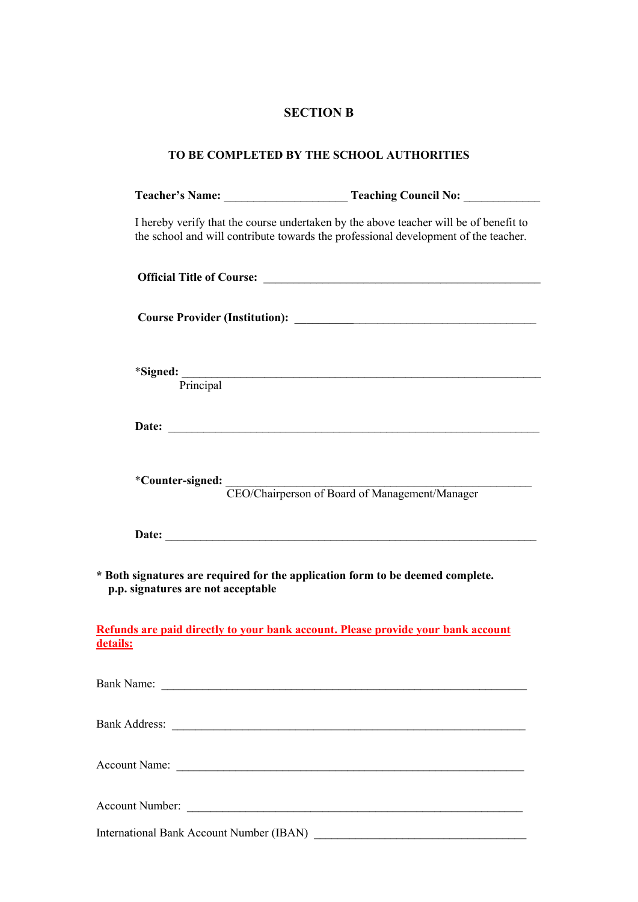## **SECTION B**

| TO BE COMPLETED BY THE SCHOOL AUTHORITIES |                                                                                                                                                                              |  |  |  |  |
|-------------------------------------------|------------------------------------------------------------------------------------------------------------------------------------------------------------------------------|--|--|--|--|
|                                           |                                                                                                                                                                              |  |  |  |  |
|                                           | I hereby verify that the course undertaken by the above teacher will be of benefit to<br>the school and will contribute towards the professional development of the teacher. |  |  |  |  |
|                                           |                                                                                                                                                                              |  |  |  |  |
|                                           |                                                                                                                                                                              |  |  |  |  |
|                                           | *Signed:<br>Principal                                                                                                                                                        |  |  |  |  |
|                                           |                                                                                                                                                                              |  |  |  |  |
|                                           | *Counter-signed: CEO/Chairperson of Board of Management/Manager                                                                                                              |  |  |  |  |
|                                           |                                                                                                                                                                              |  |  |  |  |
| p.p. signatures are not acceptable        | * Both signatures are required for the application form to be deemed complete.                                                                                               |  |  |  |  |
| details:                                  | Refunds are paid directly to your bank account. Please provide your bank account                                                                                             |  |  |  |  |
|                                           |                                                                                                                                                                              |  |  |  |  |
|                                           |                                                                                                                                                                              |  |  |  |  |
|                                           |                                                                                                                                                                              |  |  |  |  |
|                                           |                                                                                                                                                                              |  |  |  |  |

International Bank Account Number (IBAN) \_\_\_\_\_\_\_\_\_\_\_\_\_\_\_\_\_\_\_\_\_\_\_\_\_\_\_\_\_\_\_\_\_\_\_\_